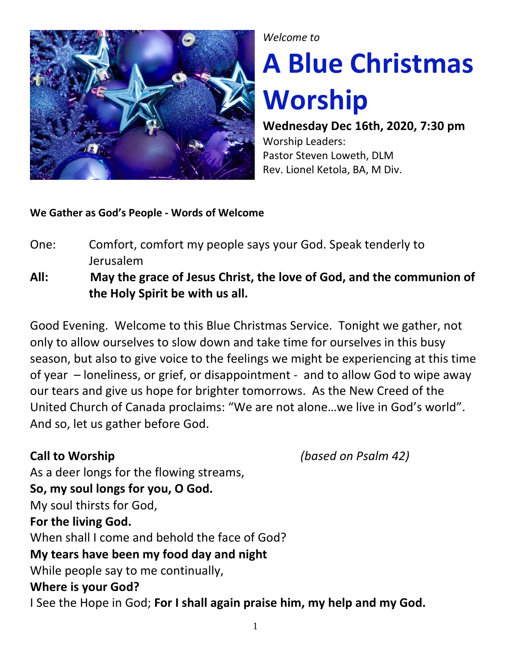

### *Welcome to*

# **A Blue Christmas Worship**

**Wednesday Dec 16th, 2020, 7:30 pm**  Worship Leaders: Pastor Steven Loweth, DLM Rev. Lionel Ketola, BA, M Div.

### **We Gather as God's People - Words of Welcome**

- One: Comfort, comfort my people says your God. Speak tenderly to Jerusalem
- **All: May the grace of Jesus Christ, the love of God, and the communion of the Holy Spirit be with us all.**

Good Evening. Welcome to this Blue Christmas Service. Tonight we gather, not only to allow ourselves to slow down and take time for ourselves in this busy season, but also to give voice to the feelings we might be experiencing at this time of year – loneliness, or grief, or disappointment - and to allow God to wipe away our tears and give us hope for brighter tomorrows. As the New Creed of the United Church of Canada proclaims: "We are not alone…we live in God's world". And so, let us gather before God.

**Call to Worship** *(based on Psalm 42)*

As a deer longs for the flowing streams, **So, my soul longs for you, O God.** My soul thirsts for God, **For the living God.** When shall I come and behold the face of God? **My tears have been my food day and night** While people say to me continually, **Where is your God?** I See the Hope in God; **For I shall again praise him, my help and my God.**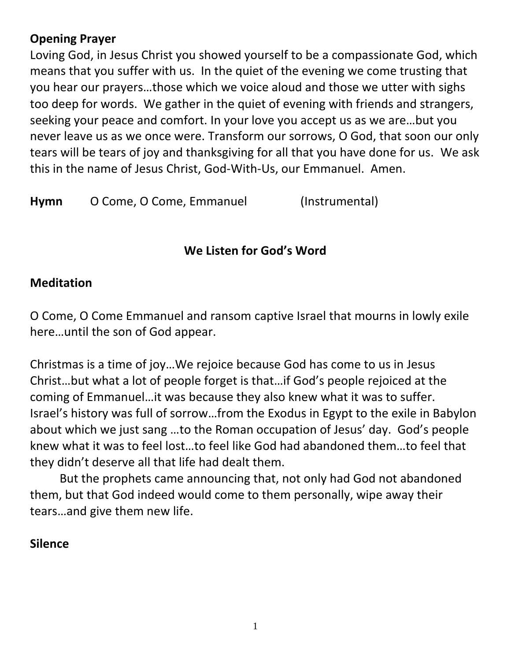# **Opening Prayer**

Loving God, in Jesus Christ you showed yourself to be a compassionate God, which means that you suffer with us. In the quiet of the evening we come trusting that you hear our prayers…those which we voice aloud and those we utter with sighs too deep for words. We gather in the quiet of evening with friends and strangers, seeking your peace and comfort. In your love you accept us as we are…but you never leave us as we once were. Transform our sorrows, O God, that soon our only tears will be tears of joy and thanksgiving for all that you have done for us. We ask this in the name of Jesus Christ, God-With-Us, our Emmanuel. Amen.

Hymn O Come, O Come, Emmanuel (Instrumental)

# **We Listen for God's Word**

# **Meditation**

O Come, O Come Emmanuel and ransom captive Israel that mourns in lowly exile here…until the son of God appear.

Christmas is a time of joy…We rejoice because God has come to us in Jesus Christ…but what a lot of people forget is that…if God's people rejoiced at the coming of Emmanuel…it was because they also knew what it was to suffer. Israel's history was full of sorrow…from the Exodus in Egypt to the exile in Babylon about which we just sang …to the Roman occupation of Jesus' day. God's people knew what it was to feel lost…to feel like God had abandoned them…to feel that they didn't deserve all that life had dealt them.

But the prophets came announcing that, not only had God not abandoned them, but that God indeed would come to them personally, wipe away their tears…and give them new life.

# **Silence**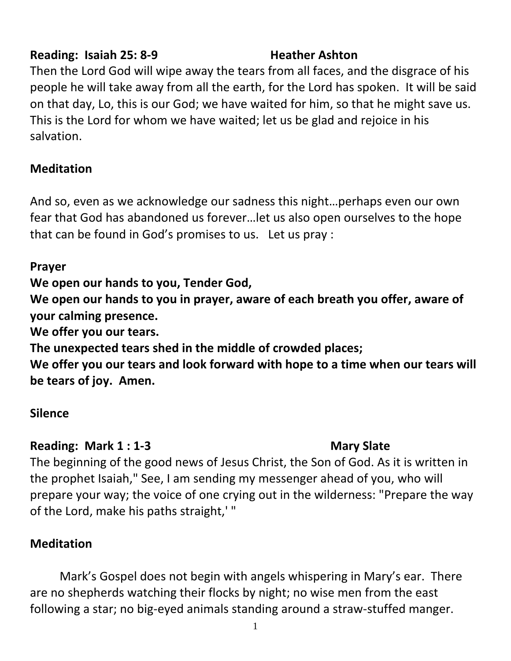# **Reading: Isaiah 25: 8-9 Heather Ashton**

Then the Lord God will wipe away the tears from all faces, and the disgrace of his people he will take away from all the earth, for the Lord has spoken. It will be said on that day, Lo, this is our God; we have waited for him, so that he might save us. This is the Lord for whom we have waited; let us be glad and rejoice in his salvation.

# **Meditation**

And so, even as we acknowledge our sadness this night…perhaps even our own fear that God has abandoned us forever…let us also open ourselves to the hope that can be found in God's promises to us. Let us pray :

# **Prayer**

**We open our hands to you, Tender God,** 

**We open our hands to you in prayer, aware of each breath you offer, aware of your calming presence.**

**We offer you our tears.**

**The unexpected tears shed in the middle of crowded places;**

**We offer you our tears and look forward with hope to a time when our tears will be tears of joy. Amen.**

# **Silence**

# **Reading: Mark 1 : 1-3 Mary Slate**

The beginning of the good news of Jesus Christ, the Son of God. As it is written in the prophet Isaiah," See, I am sending my messenger ahead of you, who will prepare your way; the voice of one crying out in the wilderness: "Prepare the way of the Lord, make his paths straight,' "

# **Meditation**

Mark's Gospel does not begin with angels whispering in Mary's ear. There are no shepherds watching their flocks by night; no wise men from the east following a star; no big-eyed animals standing around a straw-stuffed manger.

1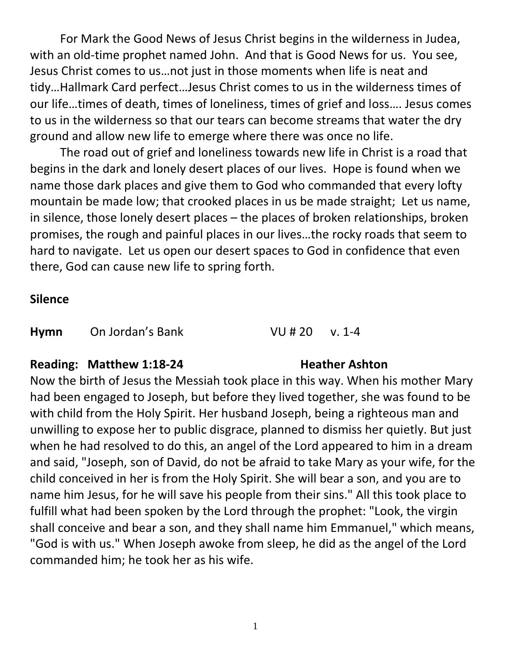For Mark the Good News of Jesus Christ begins in the wilderness in Judea, with an old-time prophet named John. And that is Good News for us. You see, Jesus Christ comes to us…not just in those moments when life is neat and tidy…Hallmark Card perfect…Jesus Christ comes to us in the wilderness times of our life…times of death, times of loneliness, times of grief and loss…. Jesus comes to us in the wilderness so that our tears can become streams that water the dry ground and allow new life to emerge where there was once no life.

The road out of grief and loneliness towards new life in Christ is a road that begins in the dark and lonely desert places of our lives. Hope is found when we name those dark places and give them to God who commanded that every lofty mountain be made low; that crooked places in us be made straight; Let us name, in silence, those lonely desert places – the places of broken relationships, broken promises, the rough and painful places in our lives…the rocky roads that seem to hard to navigate. Let us open our desert spaces to God in confidence that even there, God can cause new life to spring forth.

### **Silence**

**Hymn** On Jordan's Bank VU # 20 v. 1-4

### **Reading: Matthew 1:18-24 Heather Ashton**

Now the birth of Jesus the Messiah took place in this way. When his mother Mary had been engaged to Joseph, but before they lived together, she was found to be with child from the Holy Spirit. Her husband Joseph, being a righteous man and unwilling to expose her to public disgrace, planned to dismiss her quietly. But just when he had resolved to do this, an angel of the Lord appeared to him in a dream and said, "Joseph, son of David, do not be afraid to take Mary as your wife, for the child conceived in her is from the Holy Spirit. She will bear a son, and you are to name him Jesus, for he will save his people from their sins." All this took place to fulfill what had been spoken by the Lord through the prophet: "Look, the virgin shall conceive and bear a son, and they shall name him Emmanuel," which means, "God is with us." When Joseph awoke from sleep, he did as the angel of the Lord commanded him; he took her as his wife.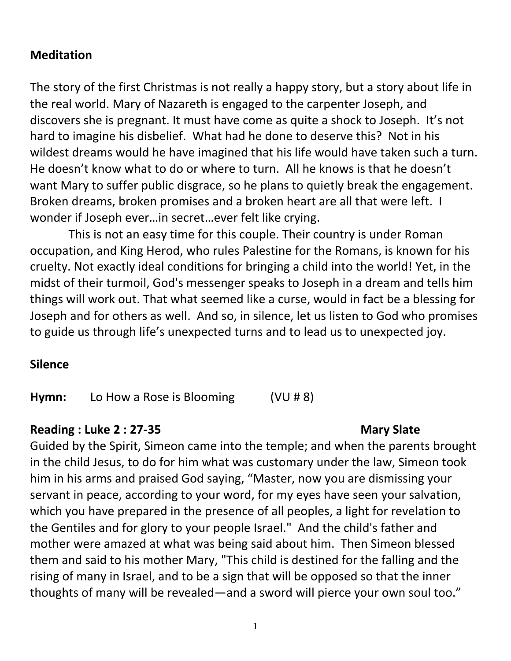# **Meditation**

The story of the first Christmas is not really a happy story, but a story about life in the real world. Mary of Nazareth is engaged to the carpenter Joseph, and discovers she is pregnant. It must have come as quite a shock to Joseph. It's not hard to imagine his disbelief. What had he done to deserve this? Not in his wildest dreams would he have imagined that his life would have taken such a turn. He doesn't know what to do or where to turn. All he knows is that he doesn't want Mary to suffer public disgrace, so he plans to quietly break the engagement. Broken dreams, broken promises and a broken heart are all that were left. I wonder if Joseph ever…in secret…ever felt like crying.

 This is not an easy time for this couple. Their country is under Roman occupation, and King Herod, who rules Palestine for the Romans, is known for his cruelty. Not exactly ideal conditions for bringing a child into the world! Yet, in the midst of their turmoil, God's messenger speaks to Joseph in a dream and tells him things will work out. That what seemed like a curse, would in fact be a blessing for Joseph and for others as well. And so, in silence, let us listen to God who promises to guide us through life's unexpected turns and to lead us to unexpected joy.

# **Silence**

**Hymn:** Lo How a Rose is Blooming (VU # 8)

# **Reading : Luke 2 : 27-35 Mary Slate**

Guided by the Spirit, Simeon came into the temple; and when the parents brought in the child Jesus, to do for him what was customary under the law, Simeon took him in his arms and praised God saying, "Master, now you are dismissing your servant in peace, according to your word, for my eyes have seen your salvation, which you have prepared in the presence of all peoples, a light for revelation to the Gentiles and for glory to your people Israel." And the child's father and mother were amazed at what was being said about him. Then Simeon blessed them and said to his mother Mary, "This child is destined for the falling and the rising of many in Israel, and to be a sign that will be opposed so that the inner thoughts of many will be revealed—and a sword will pierce your own soul too."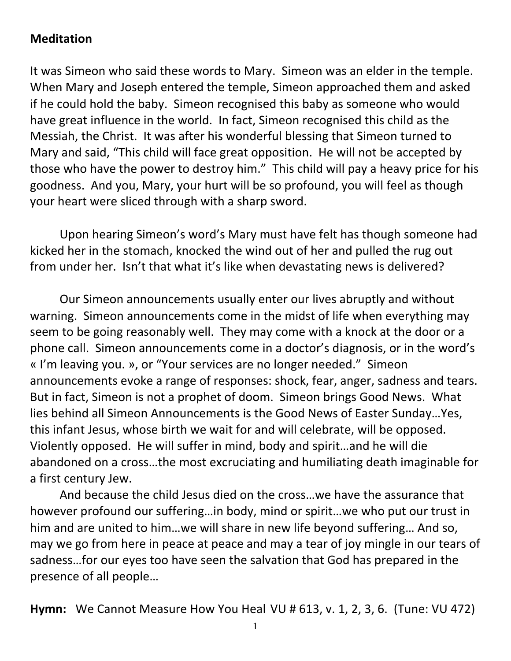# **Meditation**

It was Simeon who said these words to Mary. Simeon was an elder in the temple. When Mary and Joseph entered the temple, Simeon approached them and asked if he could hold the baby. Simeon recognised this baby as someone who would have great influence in the world. In fact, Simeon recognised this child as the Messiah, the Christ. It was after his wonderful blessing that Simeon turned to Mary and said, "This child will face great opposition. He will not be accepted by those who have the power to destroy him." This child will pay a heavy price for his goodness. And you, Mary, your hurt will be so profound, you will feel as though your heart were sliced through with a sharp sword.

Upon hearing Simeon's word's Mary must have felt has though someone had kicked her in the stomach, knocked the wind out of her and pulled the rug out from under her. Isn't that what it's like when devastating news is delivered?

Our Simeon announcements usually enter our lives abruptly and without warning. Simeon announcements come in the midst of life when everything may seem to be going reasonably well. They may come with a knock at the door or a phone call. Simeon announcements come in a doctor's diagnosis, or in the word's « I'm leaving you. », or "Your services are no longer needed." Simeon announcements evoke a range of responses: shock, fear, anger, sadness and tears. But in fact, Simeon is not a prophet of doom. Simeon brings Good News. What lies behind all Simeon Announcements is the Good News of Easter Sunday…Yes, this infant Jesus, whose birth we wait for and will celebrate, will be opposed. Violently opposed. He will suffer in mind, body and spirit…and he will die abandoned on a cross…the most excruciating and humiliating death imaginable for a first century Jew.

And because the child Jesus died on the cross…we have the assurance that however profound our suffering…in body, mind or spirit…we who put our trust in him and are united to him…we will share in new life beyond suffering… And so, may we go from here in peace at peace and may a tear of joy mingle in our tears of sadness…for our eyes too have seen the salvation that God has prepared in the presence of all people…

**Hymn:** We Cannot Measure How You Heal VU # 613, v. 1, 2, 3, 6. (Tune: VU 472)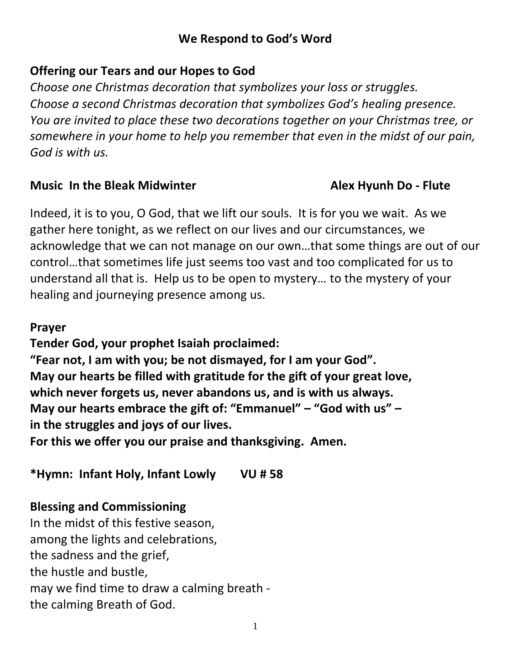# **We Respond to God's Word**

# **Offering our Tears and our Hopes to God**

*Choose one Christmas decoration that symbolizes your loss or struggles. Choose a second Christmas decoration that symbolizes God's healing presence. You are invited to place these two decorations together on your Christmas tree, or somewhere in your home to help you remember that even in the midst of our pain, God is with us.* 

# **Music** In the Bleak Midwinter **Alex Hyunh Do -** Flute

Indeed, it is to you, O God, that we lift our souls. It is for you we wait. As we gather here tonight, as we reflect on our lives and our circumstances, we acknowledge that we can not manage on our own…that some things are out of our control…that sometimes life just seems too vast and too complicated for us to understand all that is. Help us to be open to mystery… to the mystery of your healing and journeying presence among us.

# **Prayer**

**Tender God, your prophet Isaiah proclaimed:** 

**"Fear not, I am with you; be not dismayed, for I am your God". May our hearts be filled with gratitude for the gift of your great love, which never forgets us, never abandons us, and is with us always. May our hearts embrace the gift of: "Emmanuel" – "God with us" – in the struggles and joys of our lives.** 

**For this we offer you our praise and thanksgiving. Amen.** 

**\*Hymn: Infant Holy, Infant Lowly VU # 58** 

# **Blessing and Commissioning**

In the midst of this festive season, among the lights and celebrations, the sadness and the grief, the hustle and bustle, may we find time to draw a calming breath the calming Breath of God.